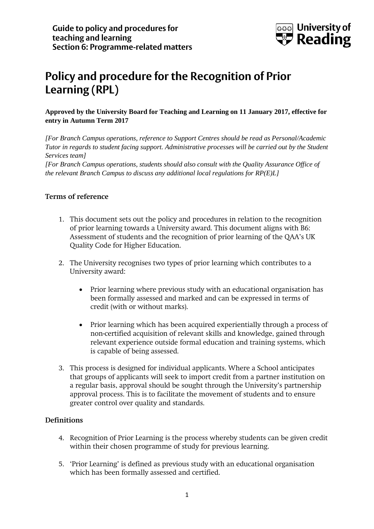

# **Policy and procedure for the Recognition of Prior Learning (RPL)**

## **Approved by the University Board for Teaching and Learning on 11 January 2017, effective for entry in Autumn Term 2017**

*[For Branch Campus operations, reference to Support Centres should be read as Personal/Academic Tutor in regards to student facing support. Administrative processes will be carried out by the Student Services team]*

*[For Branch Campus operations, students should also consult with the Quality Assurance Office of the relevant Branch Campus to discuss any additional local regulations for RP(E)L]*

## **Terms of reference**

- 1. This document sets out the policy and procedures in relation to the recognition of prior learning towards a University award. This document aligns with B6: Assessment of students and the recognition of prior learning of the QAA's UK Quality Code for Higher Education.
- 2. The University recognises two types of prior learning which contributes to a University award:
	- Prior learning where previous study with an educational organisation has been formally assessed and marked and can be expressed in terms of credit (with or without marks).
	- Prior learning which has been acquired experientially through a process of non-certified acquisition of relevant skills and knowledge, gained through relevant experience outside formal education and training systems, which is capable of being assessed.
- 3. This process is designed for individual applicants. Where a School anticipates that groups of applicants will seek to import credit from a partner institution on a regular basis, approval should be sought through the University's partnership approval process. This is to facilitate the movement of students and to ensure greater control over quality and standards.

#### **Definitions**

- 4. Recognition of Prior Learning is the process whereby students can be given credit within their chosen programme of study for previous learning.
- 5. 'Prior Learning' is defined as previous study with an educational organisation which has been formally assessed and certified.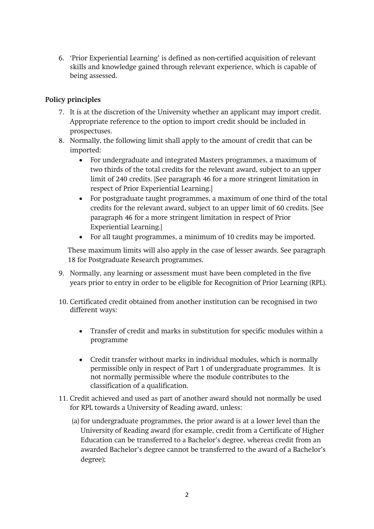6. 'Prior Experiential Learning' is defined as non-certified acquisition of relevant skills and knowledge gained through relevant experience, which is capable of being assessed.

# **Policy principles**

- 7. It is at the discretion of the University whether an applicant may import credit. Appropriate reference to the option to import credit should be included in prospectuses.
- 8. Normally, the following limit shall apply to the amount of credit that can be imported:
	- For undergraduate and integrated Masters programmes, a maximum of two thirds of the total credits for the relevant award, subject to an upper limit of 240 credits. [See paragraph 46 for a more stringent limitation in respect of Prior Experiential Learning.]
	- For postgraduate taught programmes, a maximum of one third of the total credits for the relevant award, subject to an upper limit of 60 credits. [See paragraph 46 for a more stringent limitation in respect of Prior Experiential Learning.]
	- For all taught programmes, a minimum of 10 credits may be imported.

These maximum limits will also apply in the case of lesser awards. See paragraph 18 for Postgraduate Research programmes.

- 9. Normally, any learning or assessment must have been completed in the five years prior to entry in order to be eligible for Recognition of Prior Learning (RPL).
- 10. Certificated credit obtained from another institution can be recognised in two different ways:
	- Transfer of credit and marks in substitution for specific modules within a programme
	- Credit transfer without marks in individual modules, which is normally permissible only in respect of Part 1 of undergraduate programmes. It is not normally permissible where the module contributes to the classification of a qualification.
- 11. Credit achieved and used as part of another award should not normally be used for RPL towards a University of Reading award, unless:
	- (a) for undergraduate programmes, the prior award is at a lower level than the University of Reading award (for example, credit from a Certificate of Higher Education can be transferred to a Bachelor's degree, whereas credit from an awarded Bachelor's degree cannot be transferred to the award of a Bachelor's degree);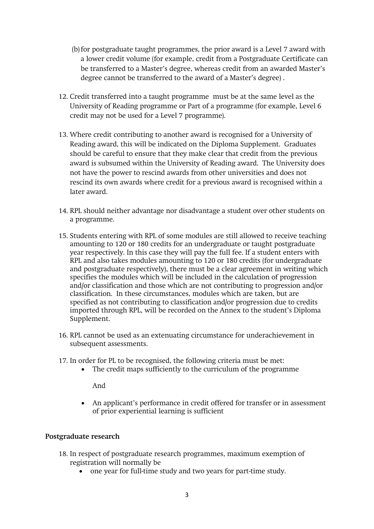- (b)for postgraduate taught programmes, the prior award is a Level 7 award with a lower credit volume (for example, credit from a Postgraduate Certificate can be transferred to a Master's degree, whereas credit from an awarded Master's degree cannot be transferred to the award of a Master's degree) .
- 12. Credit transferred into a taught programme must be at the same level as the University of Reading programme or Part of a programme (for example, Level 6 credit may not be used for a Level 7 programme).
- 13. Where credit contributing to another award is recognised for a University of Reading award, this will be indicated on the Diploma Supplement. Graduates should be careful to ensure that they make clear that credit from the previous award is subsumed within the University of Reading award. The University does not have the power to rescind awards from other universities and does not rescind its own awards where credit for a previous award is recognised within a later award.
- 14. RPL should neither advantage nor disadvantage a student over other students on a programme.
- 15. Students entering with RPL of some modules are still allowed to receive teaching amounting to 120 or 180 credits for an undergraduate or taught postgraduate year respectively. In this case they will pay the full fee. If a student enters with RPL and also takes modules amounting to 120 or 180 credits (for undergraduate and postgraduate respectively), there must be a clear agreement in writing which specifies the modules which will be included in the calculation of progression and/or classification and those which are not contributing to progression and/or classification. In these circumstances, modules which are taken, but are specified as not contributing to classification and/or progression due to credits imported through RPL, will be recorded on the Annex to the student's Diploma Supplement.
- 16. RPL cannot be used as an extenuating circumstance for underachievement in subsequent assessments.
- 17. In order for PL to be recognised, the following criteria must be met:
	- The credit maps sufficiently to the curriculum of the programme

And

• An applicant's performance in credit offered for transfer or in assessment of prior experiential learning is sufficient

## **Postgraduate research**

- 18. In respect of postgraduate research programmes, maximum exemption of registration will normally be
	- one year for full-time study and two years for part-time study.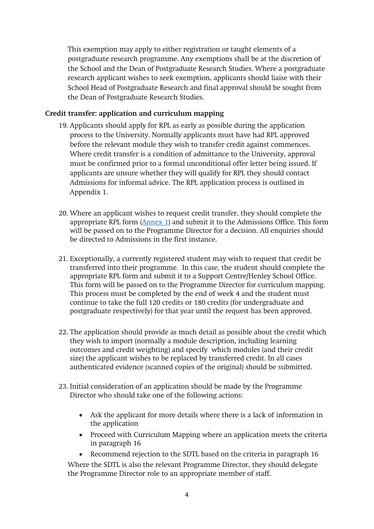This exemption may apply to either registration or taught elements of a postgraduate research programme. Any exemptions shall be at the discretion of the School and the Dean of Postgraduate Research Studies. Where a postgraduate research applicant wishes to seek exemption, applicants should liaise with their School Head of Postgraduate Research and final approval should be sought from the Dean of Postgraduate Research Studies.

## **Credit transfer: application and curriculum mapping**

- 19. Applicants should apply for RPL as early as possible during the application process to the University. Normally applicants must have had RPL approved before the relevant module they wish to transfer credit against commences. Where credit transfer is a condition of admittance to the University, approval must be confirmed prior to a formal unconditional offer letter being issued. If applicants are unsure whether they will qualify for RPL they should contact Admissions for informal advice. The RPL application process is outlined in Appendix 1.
- 20. Where an applicant wishes to request credit transfer, they should complete the appropriate RPL form [\(Annex 1\)](http://www.reading.ac.uk/nmsruntime/saveasdialog.aspx?lID=125097&sID=87193) and submit it to the Admissions Office. This form will be passed on to the Programme Director for a decision. All enquiries should be directed to Admissions in the first instance.
- 21. Exceptionally, a currently registered student may wish to request that credit be transferred into their programme. In this case, the student should complete the appropriate RPL form and submit it to a Support Centre/Henley School Office. This form will be passed on to the Programme Director for curriculum mapping. This process must be completed by the end of week 4 and the student must continue to take the full 120 credits or 180 credits (for undergraduate and postgraduate respectively) for that year until the request has been approved.
- 22. The application should provide as much detail as possible about the credit which they wish to import (normally a module description, including learning outcomes and credit weighting) and specify which modules (and their credit size) the applicant wishes to be replaced by transferred credit. In all cases authenticated evidence (scanned copies of the original) should be submitted.
- 23. Initial consideration of an application should be made by the Programme Director who should take one of the following actions:
	- Ask the applicant for more details where there is a lack of information in the application
	- Proceed with Curriculum Mapping where an application meets the criteria in paragraph 16

• Recommend rejection to the SDTL based on the criteria in paragraph 16 Where the SDTL is also the relevant Programme Director, they should delegate the Programme Director role to an appropriate member of staff.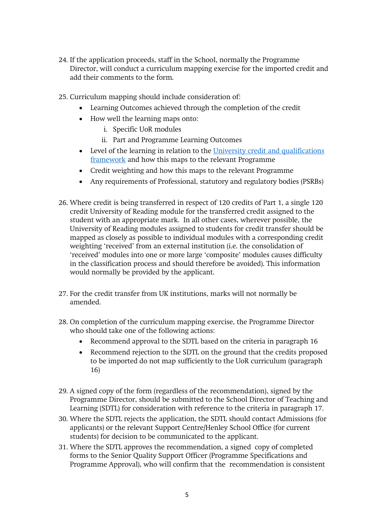- 24. If the application proceeds, staff in the School, normally the Programme Director, will conduct a curriculum mapping exercise for the imported credit and add their comments to the form.
- 25. Curriculum mapping should include consideration of:
	- Learning Outcomes achieved through the completion of the credit
	- How well the learning maps onto:
		- i. Specific UoR modules
		- ii. Part and Programme Learning Outcomes
	- Level of the learning in relation to the [University credit and qualifications](http://www.reading.ac.uk/nmsruntime/saveasdialog.aspx?lID=41090&sID=87193)  [framework](http://www.reading.ac.uk/nmsruntime/saveasdialog.aspx?lID=41090&sID=87193) and how this maps to the relevant Programme
	- Credit weighting and how this maps to the relevant Programme
	- Any requirements of Professional, statutory and regulatory bodies (PSRBs)
- 26. Where credit is being transferred in respect of 120 credits of Part 1, a single 120 credit University of Reading module for the transferred credit assigned to the student with an appropriate mark. In all other cases, wherever possible, the University of Reading modules assigned to students for credit transfer should be mapped as closely as possible to individual modules with a corresponding credit weighting 'received' from an external institution (i.e. the consolidation of 'received' modules into one or more large 'composite' modules causes difficulty in the classification process and should therefore be avoided). This information would normally be provided by the applicant.
- 27. For the credit transfer from UK institutions, marks will not normally be amended.
- 28. On completion of the curriculum mapping exercise, the Programme Director who should take one of the following actions:
	- Recommend approval to the SDTL based on the criteria in paragraph 16
	- Recommend rejection to the SDTL on the ground that the credits proposed to be imported do not map sufficiently to the UoR curriculum (paragraph 16)
- 29. A signed copy of the form (regardless of the recommendation), signed by the Programme Director, should be submitted to the School Director of Teaching and Learning (SDTL) for consideration with reference to the criteria in paragraph 17.
- 30. Where the SDTL rejects the application, the SDTL should contact Admissions (for applicants) or the relevant Support Centre/Henley School Office (for current students) for decision to be communicated to the applicant.
- 31. Where the SDTL approves the recommendation, a signed copy of completed forms to the Senior Quality Support Officer (Programme Specifications and Programme Approval), who will confirm that the recommendation is consistent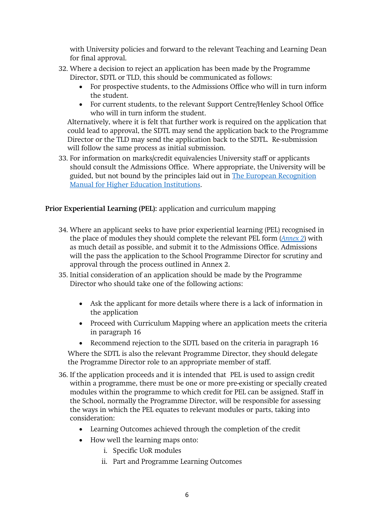with University policies and forward to the relevant Teaching and Learning Dean for final approval.

- 32. Where a decision to reject an application has been made by the Programme Director, SDTL or TLD, this should be communicated as follows:
	- For prospective students, to the Admissions Office who will in turn inform the student.
	- For current students, to the relevant Support Centre/Henley School Office who will in turn inform the student.

Alternatively, where it is felt that further work is required on the application that could lead to approval, the SDTL may send the application back to the Programme Director or the TLD may send the application back to the SDTL. Re-submission will follow the same process as initial submission.

33. For information on marks/credit equivalencies University staff or applicants should consult the Admissions Office. Where appropriate, the University will be guided, but not bound by the principles laid out in [The European Recognition](http://eurorecognition.eu/Manual/EAR%20HEI.pdf)  [Manual for Higher Education Institutions.](http://eurorecognition.eu/Manual/EAR%20HEI.pdf)

## **Prior Experiential Learning (PEL):** application and curriculum mapping

- 34. Where an applicant seeks to have prior experiential learning (PEL) recognised in the place of modules they should complete the relevant PEL form (*[Annex 2](http://www.reading.ac.uk/nmsruntime/saveasdialog.aspx?lID=127138&sID=87193)*) with as much detail as possible, and submit it to the Admissions Office. Admissions will the pass the application to the School Programme Director for scrutiny and approval through the process outlined in Annex 2.
- 35. Initial consideration of an application should be made by the Programme Director who should take one of the following actions:
	- Ask the applicant for more details where there is a lack of information in the application
	- Proceed with Curriculum Mapping where an application meets the criteria in paragraph 16
	- Recommend rejection to the SDTL based on the criteria in paragraph 16

Where the SDTL is also the relevant Programme Director, they should delegate the Programme Director role to an appropriate member of staff.

- 36. If the application proceeds and it is intended that PEL is used to assign credit within a programme, there must be one or more pre-existing or specially created modules within the programme to which credit for PEL can be assigned. Staff in the School, normally the Programme Director, will be responsible for assessing the ways in which the PEL equates to relevant modules or parts, taking into consideration:
	- Learning Outcomes achieved through the completion of the credit
	- How well the learning maps onto:
		- i. Specific UoR modules
		- ii. Part and Programme Learning Outcomes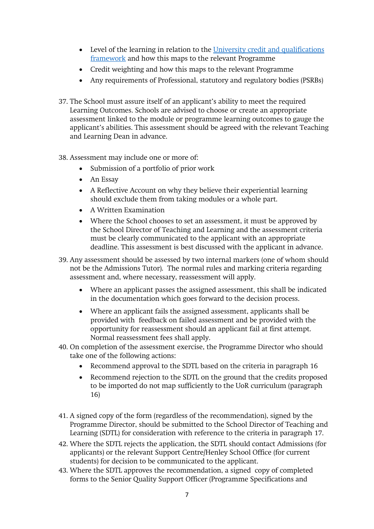- Level of the learning in relation to the University credit and qualifications [framework](http://www.reading.ac.uk/nmsruntime/saveasdialog.aspx?lID=41090&sID=87193) and how this maps to the relevant Programme
- Credit weighting and how this maps to the relevant Programme
- Any requirements of Professional, statutory and regulatory bodies (PSRBs)
- 37. The School must assure itself of an applicant's ability to meet the required Learning Outcomes. Schools are advised to choose or create an appropriate assessment linked to the module or programme learning outcomes to gauge the applicant's abilities. This assessment should be agreed with the relevant Teaching and Learning Dean in advance.
- 38. Assessment may include one or more of:
	- Submission of a portfolio of prior work
	- An Essay
	- A Reflective Account on why they believe their experiential learning should exclude them from taking modules or a whole part.
	- A Written Examination
	- Where the School chooses to set an assessment, it must be approved by the School Director of Teaching and Learning and the assessment criteria must be clearly communicated to the applicant with an appropriate deadline. This assessment is best discussed with the applicant in advance.
- 39. Any assessment should be assessed by two internal markers (one of whom should not be the Admissions Tutor). The normal rules and marking criteria regarding assessment and, where necessary, reassessment will apply.
	- Where an applicant passes the assigned assessment, this shall be indicated in the documentation which goes forward to the decision process.
	- Where an applicant fails the assigned assessment, applicants shall be provided with feedback on failed assessment and be provided with the opportunity for reassessment should an applicant fail at first attempt. Normal reassessment fees shall apply.
- 40. On completion of the assessment exercise, the Programme Director who should take one of the following actions:
	- Recommend approval to the SDTL based on the criteria in paragraph 16
	- Recommend rejection to the SDTL on the ground that the credits proposed to be imported do not map sufficiently to the UoR curriculum (paragraph 16)
- 41. A signed copy of the form (regardless of the recommendation), signed by the Programme Director, should be submitted to the School Director of Teaching and Learning (SDTL) for consideration with reference to the criteria in paragraph 17.
- 42. Where the SDTL rejects the application, the SDTL should contact Admissions (for applicants) or the relevant Support Centre/Henley School Office (for current students) for decision to be communicated to the applicant.
- 43. Where the SDTL approves the recommendation, a signed copy of completed forms to the Senior Quality Support Officer (Programme Specifications and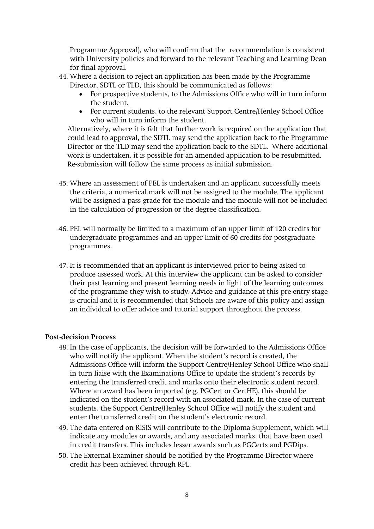Programme Approval), who will confirm that the recommendation is consistent with University policies and forward to the relevant Teaching and Learning Dean for final approval.

- 44. Where a decision to reject an application has been made by the Programme Director, SDTL or TLD, this should be communicated as follows:
	- For prospective students, to the Admissions Office who will in turn inform the student.
	- For current students, to the relevant Support Centre/Henley School Office who will in turn inform the student.

Alternatively, where it is felt that further work is required on the application that could lead to approval, the SDTL may send the application back to the Programme Director or the TLD may send the application back to the SDTL. Where additional work is undertaken, it is possible for an amended application to be resubmitted. Re-submission will follow the same process as initial submission.

- 45. Where an assessment of PEL is undertaken and an applicant successfully meets the criteria, a numerical mark will not be assigned to the module. The applicant will be assigned a pass grade for the module and the module will not be included in the calculation of progression or the degree classification.
- 46. PEL will normally be limited to a maximum of an upper limit of 120 credits for undergraduate programmes and an upper limit of 60 credits for postgraduate programmes.
- 47. It is recommended that an applicant is interviewed prior to being asked to produce assessed work. At this interview the applicant can be asked to consider their past learning and present learning needs in light of the learning outcomes of the programme they wish to study. Advice and guidance at this pre-entry stage is crucial and it is recommended that Schools are aware of this policy and assign an individual to offer advice and tutorial support throughout the process.

#### **Post-decision Process**

- 48. In the case of applicants, the decision will be forwarded to the Admissions Office who will notify the applicant. When the student's record is created, the Admissions Office will inform the Support Centre/Henley School Office who shall in turn liaise with the Examinations Office to update the student's records by entering the transferred credit and marks onto their electronic student record. Where an award has been imported (e.g. PGCert or CertHE), this should be indicated on the student's record with an associated mark. In the case of current students, the Support Centre/Henley School Office will notify the student and enter the transferred credit on the student's electronic record.
- 49. The data entered on RISIS will contribute to the Diploma Supplement, which will indicate any modules or awards, and any associated marks, that have been used in credit transfers. This includes lesser awards such as PGCerts and PGDips.
- 50. The External Examiner should be notified by the Programme Director where credit has been achieved through RPL.